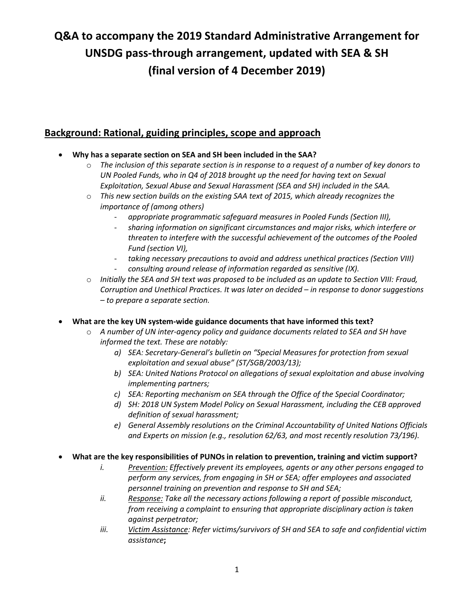# **Q&A to accompany the 2019 Standard Administrative Arrangement for UNSDG pass-through arrangement, updated with SEA & SH (final version of 4 December 2019)**

### **Background: Rational, guiding principles, scope and approach**

- **Why has a separate section on SEA and SH been included in the SAA?**
	- o *The inclusion of this separate section is in response to a request of a number of key donors to UN Pooled Funds, who in Q4 of 2018 brought up the need for having text on Sexual Exploitation, Sexual Abuse and Sexual Harassment (SEA and SH) included in the SAA.*
	- o *This new section builds on the existing SAA text of 2015, which already recognizes the importance of (among others)*
		- *appropriate programmatic safeguard measures in Pooled Funds (Section III),*
		- *sharing information on significant circumstances and major risks, which interfere or threaten to interfere with the successful achievement of the outcomes of the Pooled Fund (section VI),*
		- *taking necessary precautions to avoid and address unethical practices (Section VIII)* - *consulting around release of information regarded as sensitive (IX).*
	- o *Initially the SEA and SH text was proposed to be included as an update to Section VIII: Fraud, Corruption and Unethical Practices. It was later on decided – in response to donor suggestions – to prepare a separate section.*
- **What are the key UN system-wide guidance documents that have informed this text?**
	- o *A number of UN inter-agency policy and guidance documents related to SEA and SH have informed the text. These are notably:*
		- *a) SEA: Secretary-General's bulletin on "Special Measures for protection from sexual exploitation and sexual abuse" (ST/SGB/2003/13);*
		- *b) SEA: United Nations Protocol on allegations of sexual exploitation and abuse involving implementing partners;*
		- *c) SEA: Reporting mechanism on SEA through the Office of the Special Coordinator;*
		- *d) SH: 2018 UN System Model Policy on Sexual Harassment, including the CEB approved definition of sexual harassment;*
		- *e) General Assembly resolutions on the Criminal Accountability of United Nations Officials and Experts on mission (e.g., resolution 62/63, and most recently resolution 73/196).*
- **What are the key responsibilities of PUNOs in relation to prevention, training and victim support?**
	- *i. Prevention: Effectively prevent its employees, agents or any other persons engaged to perform any services, from engaging in SH or SEA; offer employees and associated personnel training on prevention and response to SH and SEA;*
	- *ii. Response: Take all the necessary actions following a report of possible misconduct, from receiving a complaint to ensuring that appropriate disciplinary action is taken against perpetrator;*
	- *iii. Victim Assistance: Refer victims/survivors of SH and SEA to safe and confidential victim assistance***;**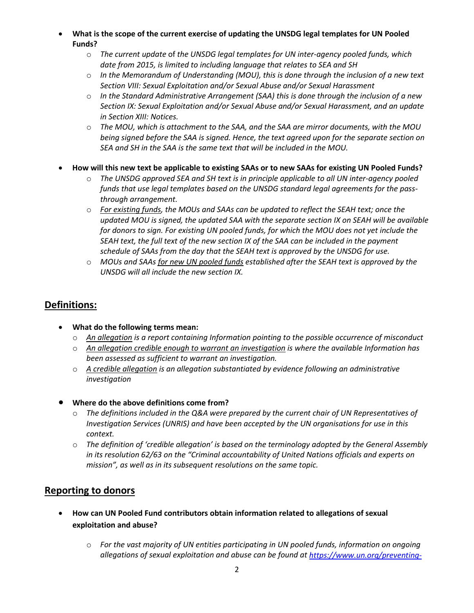• **What is the scope of the current exercise of updating the UNSDG legal templates for UN Pooled Funds?**

- o *The current update* of *the UNSDG legal templates for UN inter-agency pooled funds, which date from 2015, is limited to including language that relates to SEA and SH*
- o *In the Memorandum of Understanding (MOU), this is done through the inclusion of a new text Section VIII: Sexual Exploitation and/or Sexual Abuse and/or Sexual Harassment*
- o *In the Standard Administrative Arrangement (SAA) this is done through the inclusion of a new Section IX: Sexual Exploitation and/or Sexual Abuse and/or Sexual Harassment, and an update in Section XIII: Notices.*
- o *The MOU, which is attachment to the SAA, and the SAA are mirror documents, with the MOU being signed before the SAA is signed. Hence, the text agreed upon for the separate section on SEA and SH in the SAA is the same text that will be included in the MOU.*
- **How will this new text be applicable to existing SAAs or to new SAAs for existing UN Pooled Funds?**
	- o *The UNSDG approved SEA and SH text is in principle applicable to all UN inter-agency pooled funds that use legal templates based on the UNSDG standard legal agreements for the passthrough arrangement.*
	- o *For existing funds, the MOUs and SAAs can be updated to reflect the SEAH text; once the updated MOU is signed, the updated SAA with the separate section IX on SEAH will be available for donors to sign. For existing UN pooled funds, for which the MOU does not yet include the SEAH text, the full text of the new section IX of the SAA can be included in the payment schedule of SAAs from the day that the SEAH text is approved by the UNSDG for use.*
	- o *MOUs and SAAs for new UN pooled funds established after the SEAH text is approved by the UNSDG will all include the new section IX.*

# **Definitions:**

- **What do the following terms mean:**
	- o *An allegation is a report containing Information pointing to the possible occurrence of misconduct*
	- o *An allegation credible enough to warrant an investigation is where the available Information has been assessed as sufficient to warrant an investigation.*
	- o *A credible allegation is an allegation substantiated by evidence following an administrative investigation*

#### • **Where do the above definitions come from?**

- o *The definitions included in the Q&A were prepared by the current chair of UN Representatives of Investigation Services (UNRIS) and have been accepted by the UN organisations for use in this context.*
- o *The definition of 'credible allegation' is based on the terminology adopted by the General Assembly in its resolution 62/63 on the "Criminal accountability of United Nations officials and experts on mission", as well as in its subsequent resolutions on the same topic.*

## **Reporting to donors**

- **How can UN Pooled Fund contributors obtain information related to allegations of sexual exploitation and abuse?**
	- o *For the vast majority of UN entities participating in UN pooled funds, information on ongoing allegations of sexual exploitation and abuse can be found at [https://www.un.org/preventing-](https://www.un.org/preventing-sexual-exploitation-and-abuse/content/data-allegations-un-system-wide)*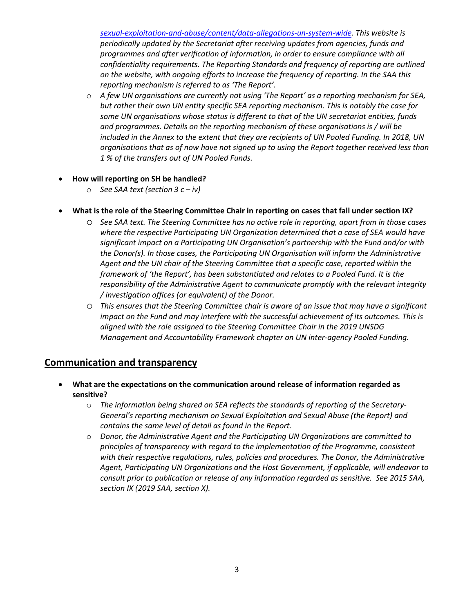*[sexual-exploitation-and-abuse/content/data-allegations-un-system-wide.](https://www.un.org/preventing-sexual-exploitation-and-abuse/content/data-allegations-un-system-wide) This website is periodically updated by the Secretariat after receiving updates from agencies, funds and programmes and after verification of information, in order to ensure compliance with all confidentiality requirements. The Reporting Standards and frequency of reporting are outlined on the website, with ongoing efforts to increase the frequency of reporting. In the SAA this reporting mechanism is referred to as 'The Report'.*

- o *A few UN organisations are currently not using 'The Report' as a reporting mechanism for SEA, but rather their own UN entity specific SEA reporting mechanism. This is notably the case for some UN organisations whose status is different to that of the UN secretariat entities, funds and programmes. Details on the reporting mechanism of these organisations is / will be included in the Annex to the extent that they are recipients of UN Pooled Funding. In 2018, UN organisations that as of now have not signed up to using the Report together received less than 1 % of the transfers out of UN Pooled Funds.*
- **How will reporting on SH be handled?**
	- o *See SAA text (section 3 c – iv)*

#### • **What is the role of the Steering Committee Chair in reporting on cases that fall under section IX?**

- o *See SAA text. The Steering Committee has no active role in reporting, apart from in those cases where the respective Participating UN Organization determined that a case of SEA would have significant impact on a Participating UN Organisation's partnership with the Fund and/or with the Donor(s). In those cases, the Participating UN Organisation will inform the Administrative Agent and the UN chair of the Steering Committee that a specific case, reported within the framework of 'the Report', has been substantiated and relates to a Pooled Fund. It is the responsibility of the Administrative Agent to communicate promptly with the relevant integrity / investigation offices (or equivalent) of the Donor.*
- o *This ensures that the Steering Committee chair is aware of an issue that may have a significant impact on the Fund and may interfere with the successful achievement of its outcomes. This is aligned with the role assigned to the Steering Committee Chair in the 2019 UNSDG Management and Accountability Framework chapter on UN inter-agency Pooled Funding.*

#### **Communication and transparency**

- **What are the expectations on the communication around release of information regarded as sensitive?**
	- o *The information being shared on SEA reflects the standards of reporting of the Secretary-General's reporting mechanism on Sexual Exploitation and Sexual Abuse (the Report) and contains the same level of detail as found in the Report.*
	- o *Donor, the Administrative Agent and the Participating UN Organizations are committed to principles of transparency with regard to the implementation of the Programme, consistent with their respective regulations, rules, policies and procedures. The Donor, the Administrative Agent, Participating UN Organizations and the Host Government, if applicable, will endeavor to consult prior to publication or release of any information regarded as sensitive. See 2015 SAA, section IX (2019 SAA, section X).*